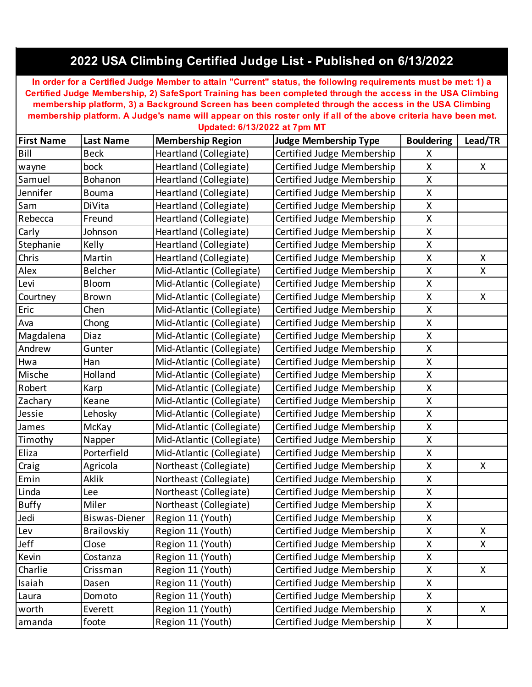## **2022 USA Climbing Certified Judge List - Published on 6/13/2022**

**In order for a Certified Judge Member to attain "Current" status, the following requirements must be met: 1) a Certified Judge Membership, 2) SafeSport Training has been completed through the access in the USA Climbing membership platform, 3) a Background Screen has been completed through the access in the USA Climbing membership platform. A Judge's name will appear on this roster only if all of the above criteria have been met. Updated: 6/13/2022 at 7pm MT**

| <b>First Name</b> | <b>Last Name</b>     | <b>Membership Region</b>  | <b>Judge Membership Type</b> | <b>Bouldering</b>  | Lead/TR |
|-------------------|----------------------|---------------------------|------------------------------|--------------------|---------|
| Bill              | <b>Beck</b>          | Heartland (Collegiate)    | Certified Judge Membership   | X                  |         |
| wayne             | bock                 | Heartland (Collegiate)    | Certified Judge Membership   | X                  | X       |
| Samuel            | Bohanon              | Heartland (Collegiate)    | Certified Judge Membership   | Χ                  |         |
| Jennifer          | <b>Bouma</b>         | Heartland (Collegiate)    | Certified Judge Membership   | X                  |         |
| Sam               | DiVita               | Heartland (Collegiate)    | Certified Judge Membership   | X                  |         |
| Rebecca           | Freund               | Heartland (Collegiate)    | Certified Judge Membership   | X                  |         |
| Carly             | Johnson              | Heartland (Collegiate)    | Certified Judge Membership   | Χ                  |         |
| Stephanie         | Kelly                | Heartland (Collegiate)    | Certified Judge Membership   | X                  |         |
| Chris             | Martin               | Heartland (Collegiate)    | Certified Judge Membership   | X                  | X       |
| Alex              | Belcher              | Mid-Atlantic (Collegiate) | Certified Judge Membership   | X                  | X       |
| Levi              | Bloom                | Mid-Atlantic (Collegiate) | Certified Judge Membership   | $\mathsf{X}% _{0}$ |         |
| Courtney          | <b>Brown</b>         | Mid-Atlantic (Collegiate) | Certified Judge Membership   | X                  | X       |
| Eric              | Chen                 | Mid-Atlantic (Collegiate) | Certified Judge Membership   | X                  |         |
| Ava               | Chong                | Mid-Atlantic (Collegiate) | Certified Judge Membership   | X                  |         |
| Magdalena         | Diaz                 | Mid-Atlantic (Collegiate) | Certified Judge Membership   | Χ                  |         |
| Andrew            | Gunter               | Mid-Atlantic (Collegiate) | Certified Judge Membership   | X                  |         |
| Hwa               | Han                  | Mid-Atlantic (Collegiate) | Certified Judge Membership   | $\pmb{\mathsf{X}}$ |         |
| Mische            | Holland              | Mid-Atlantic (Collegiate) | Certified Judge Membership   | X                  |         |
| Robert            | Karp                 | Mid-Atlantic (Collegiate) | Certified Judge Membership   | Χ                  |         |
| Zachary           | Keane                | Mid-Atlantic (Collegiate) | Certified Judge Membership   | X                  |         |
| Jessie            | Lehosky              | Mid-Atlantic (Collegiate) | Certified Judge Membership   | X                  |         |
| James             | McKay                | Mid-Atlantic (Collegiate) | Certified Judge Membership   | X                  |         |
| Timothy           | Napper               | Mid-Atlantic (Collegiate) | Certified Judge Membership   | $\mathsf{X}% _{0}$ |         |
| Eliza             | Porterfield          | Mid-Atlantic (Collegiate) | Certified Judge Membership   | X                  |         |
| Craig             | Agricola             | Northeast (Collegiate)    | Certified Judge Membership   | X                  | X       |
| Emin              | Aklik                | Northeast (Collegiate)    | Certified Judge Membership   | X                  |         |
| Linda             | Lee                  | Northeast (Collegiate)    | Certified Judge Membership   | X                  |         |
| <b>Buffy</b>      | Miler                | Northeast (Collegiate)    | Certified Judge Membership   | X                  |         |
| Jedi              | <b>Biswas-Diener</b> | Region 11 (Youth)         | Certified Judge Membership   | X                  |         |
| Lev               | Brailovskiy          | Region 11 (Youth)         | Certified Judge Membership   | $\pmb{\mathsf{X}}$ | X       |
| Jeff              | Close                | Region 11 (Youth)         | Certified Judge Membership   | X                  | X       |
| Kevin             | Costanza             | Region 11 (Youth)         | Certified Judge Membership   | X                  |         |
| Charlie           | Crissman             | Region 11 (Youth)         | Certified Judge Membership   | Χ                  | X       |
| Isaiah            | Dasen                | Region 11 (Youth)         | Certified Judge Membership   | X                  |         |
| Laura             | Domoto               | Region 11 (Youth)         | Certified Judge Membership   | Χ                  |         |
| worth             | Everett              | Region 11 (Youth)         | Certified Judge Membership   | X                  | X       |
| amanda            | foote                | Region 11 (Youth)         | Certified Judge Membership   | X                  |         |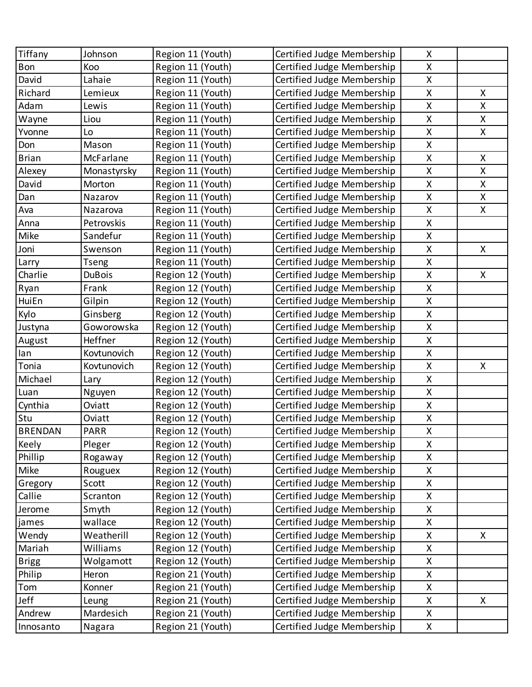| Tiffany        | Johnson       | Region 11 (Youth) | Certified Judge Membership | X                                                   |    |
|----------------|---------------|-------------------|----------------------------|-----------------------------------------------------|----|
| Bon            | Koo           | Region 11 (Youth) | Certified Judge Membership | X                                                   |    |
| David          | Lahaie        | Region 11 (Youth) | Certified Judge Membership | X                                                   |    |
| Richard        | Lemieux       | Region 11 (Youth) | Certified Judge Membership | X                                                   | X  |
| Adam           | Lewis         | Region 11 (Youth) | Certified Judge Membership | X                                                   | X  |
| Wayne          | Liou          | Region 11 (Youth) | Certified Judge Membership | X                                                   | X  |
| Yvonne         | Lo            | Region 11 (Youth) | Certified Judge Membership | X                                                   | X  |
| Don            | Mason         | Region 11 (Youth) | Certified Judge Membership | X                                                   |    |
| <b>Brian</b>   | McFarlane     | Region 11 (Youth) | Certified Judge Membership | X                                                   | X  |
| Alexey         | Monastyrsky   | Region 11 (Youth) | Certified Judge Membership | $\pmb{\mathsf{X}}$                                  | X  |
| David          | Morton        | Region 11 (Youth) | Certified Judge Membership | X                                                   | X  |
| Dan            | Nazarov       | Region 11 (Youth) | Certified Judge Membership | $\mathsf{X}% _{0}^{\prime}=\mathsf{X}_{0}^{\prime}$ | X  |
| Ava            | Nazarova      | Region 11 (Youth) | Certified Judge Membership | X                                                   | X  |
| Anna           | Petrovskis    | Region 11 (Youth) | Certified Judge Membership | X                                                   |    |
| Mike           | Sandefur      | Region 11 (Youth) | Certified Judge Membership | X                                                   |    |
| Joni           | Swenson       | Region 11 (Youth) | Certified Judge Membership | $\mathsf{X}% _{0}^{\prime}=\mathsf{X}_{0}^{\prime}$ | X  |
| Larry          | <b>Tseng</b>  | Region 11 (Youth) | Certified Judge Membership | X                                                   |    |
| Charlie        | <b>DuBois</b> | Region 12 (Youth) | Certified Judge Membership | $\pmb{\mathsf{X}}$                                  | X  |
| Ryan           | Frank         | Region 12 (Youth) | Certified Judge Membership | X                                                   |    |
| HuiEn          | Gilpin        | Region 12 (Youth) | Certified Judge Membership | $\mathsf{X}% _{0}^{\prime}=\mathsf{X}_{0}^{\prime}$ |    |
| Kylo           | Ginsberg      | Region 12 (Youth) | Certified Judge Membership | X                                                   |    |
| Justyna        | Goworowska    | Region 12 (Youth) | Certified Judge Membership | $\pmb{\mathsf{X}}$                                  |    |
| August         | Heffner       | Region 12 (Youth) | Certified Judge Membership | X                                                   |    |
| lan            | Kovtunovich   | Region 12 (Youth) | Certified Judge Membership | $\mathsf{X}% _{0}^{\prime}=\mathsf{X}_{0}^{\prime}$ |    |
| Tonia          | Kovtunovich   | Region 12 (Youth) | Certified Judge Membership | X                                                   | X. |
| Michael        | Lary          | Region 12 (Youth) | Certified Judge Membership | $\pmb{\mathsf{X}}$                                  |    |
| Luan           | Nguyen        | Region 12 (Youth) | Certified Judge Membership | X                                                   |    |
| Cynthia        | Oviatt        | Region 12 (Youth) | Certified Judge Membership | $\mathsf{X}$                                        |    |
| Stu            | Oviatt        | Region 12 (Youth) | Certified Judge Membership | X                                                   |    |
| <b>BRENDAN</b> | PARR          | Region 12 (Youth) | Certified Judge Membership | X                                                   |    |
| Keely          | Pleger        | Region 12 (Youth) | Certified Judge Membership | X                                                   |    |
| Phillip        | Rogaway       | Region 12 (Youth) | Certified Judge Membership | Χ                                                   |    |
| Mike           | Rouguex       | Region 12 (Youth) | Certified Judge Membership | X                                                   |    |
| Gregory        | Scott         | Region 12 (Youth) | Certified Judge Membership | Χ                                                   |    |
| Callie         | Scranton      | Region 12 (Youth) | Certified Judge Membership | X                                                   |    |
| Jerome         | Smyth         | Region 12 (Youth) | Certified Judge Membership | Χ                                                   |    |
| james          | wallace       | Region 12 (Youth) | Certified Judge Membership | X                                                   |    |
| Wendy          | Weatherill    | Region 12 (Youth) | Certified Judge Membership | X                                                   | X  |
| Mariah         | Williams      | Region 12 (Youth) | Certified Judge Membership | X                                                   |    |
| <b>Brigg</b>   | Wolgamott     | Region 12 (Youth) | Certified Judge Membership | Χ                                                   |    |
| Philip         | Heron         | Region 21 (Youth) | Certified Judge Membership | X                                                   |    |
| Tom            | Konner        | Region 21 (Youth) | Certified Judge Membership | X                                                   |    |
| Jeff           | Leung         | Region 21 (Youth) | Certified Judge Membership | X                                                   | X. |
| Andrew         | Mardesich     | Region 21 (Youth) | Certified Judge Membership | Χ                                                   |    |
| Innosanto      | Nagara        | Region 21 (Youth) | Certified Judge Membership | X                                                   |    |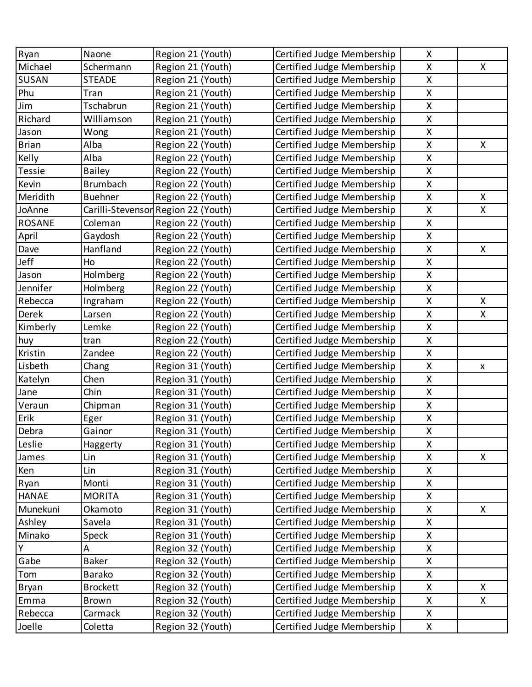| Ryan          | Naone           | Region 21 (Youth)                   | Certified Judge Membership | X                  |                |
|---------------|-----------------|-------------------------------------|----------------------------|--------------------|----------------|
| Michael       | Schermann       | Region 21 (Youth)                   | Certified Judge Membership | X                  | X              |
| SUSAN         | <b>STEADE</b>   | Region 21 (Youth)                   | Certified Judge Membership | $\mathsf{X}% _{0}$ |                |
| Phu           | Tran            | Region 21 (Youth)                   | Certified Judge Membership | $\mathsf{X}% _{0}$ |                |
| Jim           | Tschabrun       | Region 21 (Youth)                   | Certified Judge Membership | $\mathsf{X}% _{0}$ |                |
| Richard       | Williamson      | Region 21 (Youth)                   | Certified Judge Membership | X                  |                |
| Jason         | Wong            | Region 21 (Youth)                   | Certified Judge Membership | $\mathsf{X}$       |                |
| <b>Brian</b>  | Alba            | Region 22 (Youth)                   | Certified Judge Membership | $\pmb{\mathsf{X}}$ | X              |
| Kelly         | Alba            | Region 22 (Youth)                   | Certified Judge Membership | $\mathsf{X}% _{0}$ |                |
| Tessie        | <b>Bailey</b>   | Region 22 (Youth)                   | Certified Judge Membership | X                  |                |
| Kevin         | <b>Brumbach</b> | Region 22 (Youth)                   | Certified Judge Membership | $\mathsf{X}% _{0}$ |                |
| Meridith      | <b>Buehner</b>  | Region 22 (Youth)                   | Certified Judge Membership | $\pmb{\mathsf{X}}$ | X.             |
| JoAnne        |                 | Carilli-Stevensor Region 22 (Youth) | Certified Judge Membership | X                  | X              |
| <b>ROSANE</b> | Coleman         | Region 22 (Youth)                   | Certified Judge Membership | $\pmb{\mathsf{X}}$ |                |
| April         | Gaydosh         | Region 22 (Youth)                   | Certified Judge Membership | $\mathsf{X}% _{0}$ |                |
| Dave          | Hanfland        | Region 22 (Youth)                   | Certified Judge Membership | $\pmb{\mathsf{X}}$ | X              |
| Jeff          | Ho              | Region 22 (Youth)                   | Certified Judge Membership | X                  |                |
| Jason         | Holmberg        | Region 22 (Youth)                   | Certified Judge Membership | X                  |                |
| Jennifer      | Holmberg        | Region 22 (Youth)                   | Certified Judge Membership | $\mathsf{X}% _{0}$ |                |
| Rebecca       | Ingraham        | Region 22 (Youth)                   | Certified Judge Membership | X                  | X              |
| Derek         | Larsen          | Region 22 (Youth)                   | Certified Judge Membership | X                  | X.             |
| Kimberly      | Lemke           | Region 22 (Youth)                   | Certified Judge Membership | Χ                  |                |
| huy           | tran            | Region 22 (Youth)                   | Certified Judge Membership | $\mathsf{X}% _{0}$ |                |
| Kristin       | Zandee          | Region 22 (Youth)                   | Certified Judge Membership | $\mathsf{X}% _{0}$ |                |
| Lisbeth       | Chang           | Region 31 (Youth)                   | Certified Judge Membership | X                  | $\mathsf{X}^-$ |
| Katelyn       | Chen            | Region 31 (Youth)                   | Certified Judge Membership | X                  |                |
| Jane          | Chin            | Region 31 (Youth)                   | Certified Judge Membership | X                  |                |
| Veraun        | Chipman         | Region 31 (Youth)                   | Certified Judge Membership | X                  |                |
| Erik          | Eger            | Region 31 (Youth)                   | Certified Judge Membership | X                  |                |
| Debra         | Gainor          | Region 31 (Youth)                   | Certified Judge Membership | X                  |                |
| Leslie        | Haggerty        | Region 31 (Youth)                   | Certified Judge Membership | X                  |                |
| James         | Lin             | Region 31 (Youth)                   | Certified Judge Membership | Χ                  | X.             |
| Ken           | Lin             | Region 31 (Youth)                   | Certified Judge Membership | X                  |                |
| Ryan          | Monti           | Region 31 (Youth)                   | Certified Judge Membership | Χ                  |                |
| <b>HANAE</b>  | <b>MORITA</b>   | Region 31 (Youth)                   | Certified Judge Membership | X                  |                |
| Munekuni      | Okamoto         | Region 31 (Youth)                   | Certified Judge Membership | Χ                  | X              |
| Ashley        | Savela          | Region 31 (Youth)                   | Certified Judge Membership | X                  |                |
| Minako        | Speck           | Region 31 (Youth)                   | Certified Judge Membership | Χ                  |                |
| Y             | Α               | Region 32 (Youth)                   | Certified Judge Membership | X                  |                |
| Gabe          | <b>Baker</b>    | Region 32 (Youth)                   | Certified Judge Membership | Χ                  |                |
| Tom           | <b>Barako</b>   | Region 32 (Youth)                   | Certified Judge Membership | X                  |                |
| Bryan         | <b>Brockett</b> | Region 32 (Youth)                   | Certified Judge Membership | Χ                  | X.             |
| Emma          | <b>Brown</b>    | Region 32 (Youth)                   | Certified Judge Membership | X                  | X.             |
| Rebecca       | Carmack         | Region 32 (Youth)                   | Certified Judge Membership | X                  |                |
| Joelle        | Coletta         | Region 32 (Youth)                   | Certified Judge Membership | X                  |                |
|               |                 |                                     |                            |                    |                |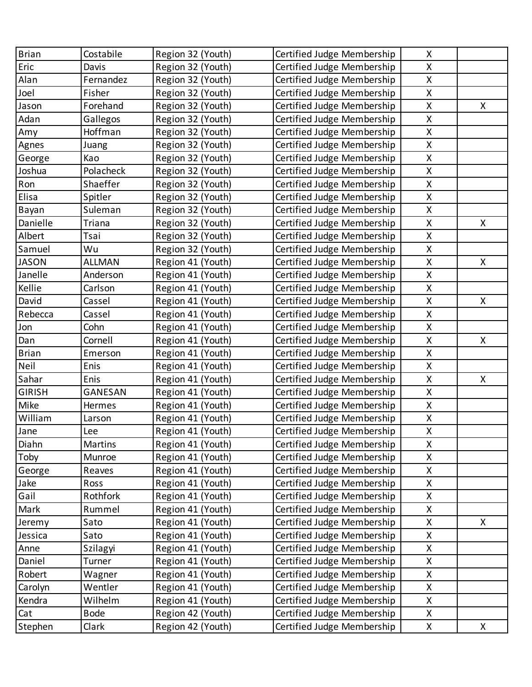| <b>Brian</b>  | Costabile     | Region 32 (Youth) | Certified Judge Membership | X                                                   |    |
|---------------|---------------|-------------------|----------------------------|-----------------------------------------------------|----|
| Eric          | Davis         | Region 32 (Youth) | Certified Judge Membership | X                                                   |    |
| Alan          | Fernandez     | Region 32 (Youth) | Certified Judge Membership | X                                                   |    |
| Joel          | Fisher        | Region 32 (Youth) | Certified Judge Membership | X                                                   |    |
| Jason         | Forehand      | Region 32 (Youth) | Certified Judge Membership | X                                                   | X. |
| Adan          | Gallegos      | Region 32 (Youth) | Certified Judge Membership | X                                                   |    |
| Amy           | Hoffman       | Region 32 (Youth) | Certified Judge Membership | X                                                   |    |
| Agnes         | Juang         | Region 32 (Youth) | Certified Judge Membership | X                                                   |    |
| George        | Kao           | Region 32 (Youth) | Certified Judge Membership | X                                                   |    |
| Joshua        | Polacheck     | Region 32 (Youth) | Certified Judge Membership | X                                                   |    |
| Ron           | Shaeffer      | Region 32 (Youth) | Certified Judge Membership | X                                                   |    |
| Elisa         | Spitler       | Region 32 (Youth) | Certified Judge Membership | X                                                   |    |
| Bayan         | Suleman       | Region 32 (Youth) | Certified Judge Membership | X                                                   |    |
| Danielle      | Triana        | Region 32 (Youth) | Certified Judge Membership | X                                                   | X  |
| Albert        | Tsai          | Region 32 (Youth) | Certified Judge Membership | X                                                   |    |
| Samuel        | Wu            | Region 32 (Youth) | Certified Judge Membership | $\mathsf{X}% _{0}^{\prime}=\mathsf{X}_{0}^{\prime}$ |    |
| <b>JASON</b>  | <b>ALLMAN</b> | Region 41 (Youth) | Certified Judge Membership | X                                                   | X  |
| Janelle       | Anderson      | Region 41 (Youth) | Certified Judge Membership | $\pmb{\mathsf{X}}$                                  |    |
| Kellie        | Carlson       | Region 41 (Youth) | Certified Judge Membership | X                                                   |    |
| David         | Cassel        | Region 41 (Youth) | Certified Judge Membership | $\mathsf{X}% _{0}^{\prime}=\mathsf{X}_{0}^{\prime}$ | X  |
| Rebecca       | Cassel        | Region 41 (Youth) | Certified Judge Membership | X                                                   |    |
| Jon           | Cohn          | Region 41 (Youth) | Certified Judge Membership | $\pmb{\mathsf{X}}$                                  |    |
| Dan           | Cornell       | Region 41 (Youth) | Certified Judge Membership | X                                                   | X  |
| <b>Brian</b>  | Emerson       | Region 41 (Youth) | Certified Judge Membership | $\mathsf{X}% _{0}^{\prime}=\mathsf{X}_{0}^{\prime}$ |    |
| Neil          | Enis          | Region 41 (Youth) | Certified Judge Membership | X                                                   |    |
| Sahar         | Enis          | Region 41 (Youth) | Certified Judge Membership | X                                                   | X  |
| <b>GIRISH</b> | GANESAN       | Region 41 (Youth) | Certified Judge Membership | X                                                   |    |
| Mike          | Hermes        | Region 41 (Youth) | Certified Judge Membership | X                                                   |    |
| William       | Larson        | Region 41 (Youth) | Certified Judge Membership | X                                                   |    |
| Jane          | Lee           | Region 41 (Youth) | Certified Judge Membership | X                                                   |    |
| Diahn         | Martins       | Region 41 (Youth) | Certified Judge Membership | X                                                   |    |
| Toby          | Munroe        | Region 41 (Youth) | Certified Judge Membership | Χ                                                   |    |
| George        | Reaves        | Region 41 (Youth) | Certified Judge Membership | X                                                   |    |
| Jake          | Ross          | Region 41 (Youth) | Certified Judge Membership | Χ                                                   |    |
| Gail          | Rothfork      | Region 41 (Youth) | Certified Judge Membership | X                                                   |    |
| Mark          | Rummel        | Region 41 (Youth) | Certified Judge Membership | Χ                                                   |    |
| Jeremy        | Sato          | Region 41 (Youth) | Certified Judge Membership | X                                                   | X  |
| Jessica       | Sato          | Region 41 (Youth) | Certified Judge Membership | $\pmb{\mathsf{X}}$                                  |    |
| Anne          | Szilagyi      | Region 41 (Youth) | Certified Judge Membership | X                                                   |    |
| Daniel        | Turner        | Region 41 (Youth) | Certified Judge Membership | Χ                                                   |    |
| Robert        | Wagner        | Region 41 (Youth) | Certified Judge Membership | X                                                   |    |
| Carolyn       | Wentler       | Region 41 (Youth) | Certified Judge Membership | X                                                   |    |
| Kendra        | Wilhelm       | Region 41 (Youth) | Certified Judge Membership | X                                                   |    |
| Cat           | <b>Bode</b>   | Region 42 (Youth) | Certified Judge Membership | Χ                                                   |    |
| Stephen       | Clark         | Region 42 (Youth) | Certified Judge Membership | X                                                   | X  |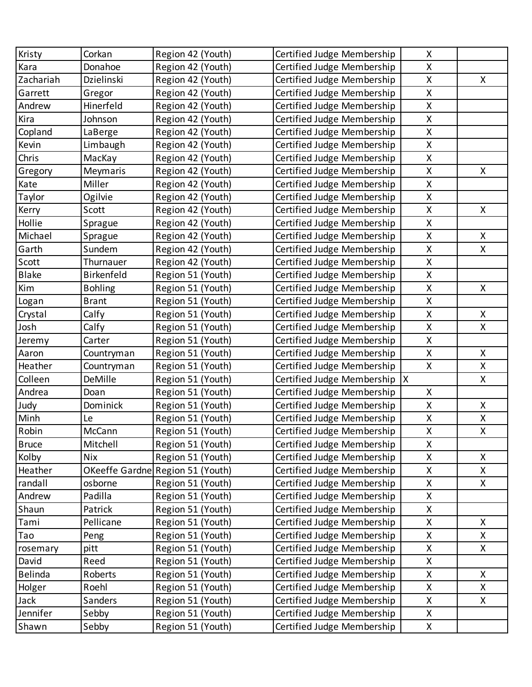| Kristy       | Corkan         | Region 42 (Youth)                | Certified Judge Membership | X                  |              |
|--------------|----------------|----------------------------------|----------------------------|--------------------|--------------|
| Kara         | Donahoe        | Region 42 (Youth)                | Certified Judge Membership | X                  |              |
| Zachariah    | Dzielinski     | Region 42 (Youth)                | Certified Judge Membership | $\pmb{\mathsf{X}}$ | X            |
| Garrett      | Gregor         | Region 42 (Youth)                | Certified Judge Membership | $\pmb{\mathsf{X}}$ |              |
| Andrew       | Hinerfeld      | Region 42 (Youth)                | Certified Judge Membership | X                  |              |
| Kira         | Johnson        | Region 42 (Youth)                | Certified Judge Membership | X                  |              |
| Copland      | LaBerge        | Region 42 (Youth)                | Certified Judge Membership | $\mathsf{X}$       |              |
| Kevin        | Limbaugh       | Region 42 (Youth)                | Certified Judge Membership | X                  |              |
| Chris        | MacKay         | Region 42 (Youth)                | Certified Judge Membership | X                  |              |
| Gregory      | Meymaris       | Region 42 (Youth)                | Certified Judge Membership | $\pmb{\mathsf{X}}$ | X            |
| Kate         | Miller         | Region 42 (Youth)                | Certified Judge Membership | X                  |              |
| Taylor       | Ogilvie        | Region 42 (Youth)                | Certified Judge Membership | $\pmb{\mathsf{X}}$ |              |
| Kerry        | Scott          | Region 42 (Youth)                | Certified Judge Membership | $\pmb{\mathsf{X}}$ | X            |
| Hollie       | Sprague        | Region 42 (Youth)                | Certified Judge Membership | X                  |              |
| Michael      | Sprague        | Region 42 (Youth)                | Certified Judge Membership | $\pmb{\mathsf{X}}$ | X            |
| Garth        | Sundem         | Region 42 (Youth)                | Certified Judge Membership | $\pmb{\mathsf{X}}$ | X            |
| Scott        | Thurnauer      | Region 42 (Youth)                | Certified Judge Membership | X                  |              |
| Blake        | Birkenfeld     | Region 51 (Youth)                | Certified Judge Membership | X                  |              |
| Kim          | <b>Bohling</b> | Region 51 (Youth)                | Certified Judge Membership | $\mathsf{X}$       | $\mathsf{X}$ |
| Logan        | <b>Brant</b>   | Region 51 (Youth)                | Certified Judge Membership | X                  |              |
| Crystal      | Calfy          | Region 51 (Youth)                | Certified Judge Membership | X                  | X            |
| Josh         | Calfy          | Region 51 (Youth)                | Certified Judge Membership | $\pmb{\mathsf{X}}$ | $\mathsf{X}$ |
| Jeremy       | Carter         | Region 51 (Youth)                | Certified Judge Membership | X                  |              |
| Aaron        | Countryman     | Region 51 (Youth)                | Certified Judge Membership | X                  | X            |
| Heather      | Countryman     | Region 51 (Youth)                | Certified Judge Membership | $\mathsf{X}$       | X            |
| Colleen      | DeMille        | Region 51 (Youth)                | Certified Judge Membership | X                  | X            |
| Andrea       | Doan           | Region 51 (Youth)                | Certified Judge Membership | X                  |              |
| Judy         | Dominick       | Region 51 (Youth)                | Certified Judge Membership | $\pmb{\mathsf{X}}$ | X            |
| Minh         | Le             | Region 51 (Youth)                | Certified Judge Membership | X                  | X            |
| Robin        | McCann         | Region 51 (Youth)                | Certified Judge Membership | X                  | X            |
| <b>Bruce</b> | Mitchell       | Region 51 (Youth)                | Certified Judge Membership | $\pmb{\mathsf{X}}$ |              |
| Kolby        | <b>Nix</b>     | Region 51 (Youth)                | Certified Judge Membership | $\pmb{\mathsf{X}}$ | X            |
| Heather      |                | OKeeffe Gardne Region 51 (Youth) | Certified Judge Membership | Χ                  | X.           |
| randall      | osborne        | Region 51 (Youth)                | Certified Judge Membership | $\pmb{\mathsf{X}}$ | X.           |
| Andrew       | Padilla        | Region 51 (Youth)                | Certified Judge Membership | X                  |              |
| Shaun        | Patrick        | Region 51 (Youth)                | Certified Judge Membership | X                  |              |
| Tami         | Pellicane      | Region 51 (Youth)                | Certified Judge Membership | $\pmb{\mathsf{X}}$ | X            |
| Tao          | Peng           | Region 51 (Youth)                | Certified Judge Membership | $\pmb{\mathsf{X}}$ | X.           |
| rosemary     | pitt           | Region 51 (Youth)                | Certified Judge Membership | $\pmb{\mathsf{X}}$ | X            |
| David        | Reed           | Region 51 (Youth)                | Certified Judge Membership | $\pmb{\mathsf{X}}$ |              |
| Belinda      | Roberts        | Region 51 (Youth)                | Certified Judge Membership | X                  | X            |
| Holger       | Roehl          | Region 51 (Youth)                | Certified Judge Membership | $\pmb{\mathsf{X}}$ | Χ            |
| Jack         | Sanders        | Region 51 (Youth)                | Certified Judge Membership | X                  | X.           |
| Jennifer     | Sebby          | Region 51 (Youth)                | Certified Judge Membership | X                  |              |
| Shawn        | Sebby          | Region 51 (Youth)                | Certified Judge Membership | X                  |              |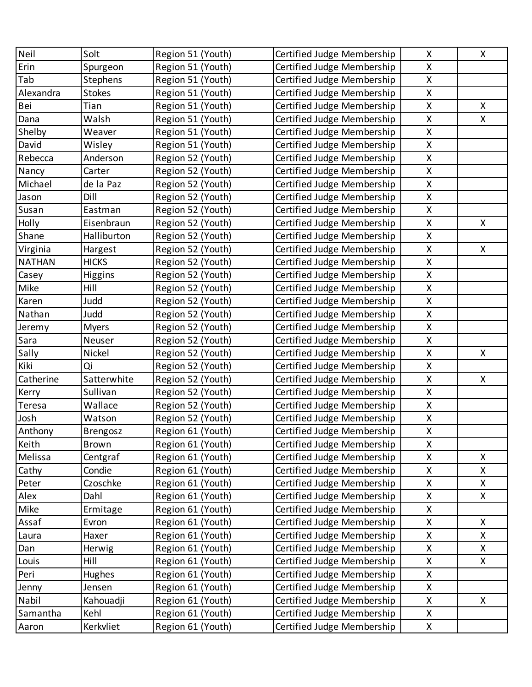| Neil          | Solt            | Region 51 (Youth) | Certified Judge Membership | X | X. |
|---------------|-----------------|-------------------|----------------------------|---|----|
| Erin          | Spurgeon        | Region 51 (Youth) | Certified Judge Membership | X |    |
| Tab           | Stephens        | Region 51 (Youth) | Certified Judge Membership | X |    |
| Alexandra     | <b>Stokes</b>   | Region 51 (Youth) | Certified Judge Membership | X |    |
| Bei           | Tian            | Region 51 (Youth) | Certified Judge Membership | X | X. |
| Dana          | Walsh           | Region 51 (Youth) | Certified Judge Membership | X | X. |
| Shelby        | Weaver          | Region 51 (Youth) | Certified Judge Membership | X |    |
| David         | Wisley          | Region 51 (Youth) | Certified Judge Membership | X |    |
| Rebecca       | Anderson        | Region 52 (Youth) | Certified Judge Membership | X |    |
| Nancy         | Carter          | Region 52 (Youth) | Certified Judge Membership | X |    |
| Michael       | de la Paz       | Region 52 (Youth) | Certified Judge Membership | X |    |
| Jason         | Dill            | Region 52 (Youth) | Certified Judge Membership | X |    |
| Susan         | Eastman         | Region 52 (Youth) | Certified Judge Membership | X |    |
| Holly         | Eisenbraun      | Region 52 (Youth) | Certified Judge Membership | X | X  |
| Shane         | Halliburton     | Region 52 (Youth) | Certified Judge Membership | X |    |
| Virginia      | Hargest         | Region 52 (Youth) | Certified Judge Membership | X | X  |
| <b>NATHAN</b> | <b>HICKS</b>    | Region 52 (Youth) | Certified Judge Membership | X |    |
| Casey         | <b>Higgins</b>  | Region 52 (Youth) | Certified Judge Membership | X |    |
| Mike          | Hill            | Region 52 (Youth) | Certified Judge Membership | X |    |
| Karen         | Judd            | Region 52 (Youth) | Certified Judge Membership | X |    |
| Nathan        | Judd            | Region 52 (Youth) | Certified Judge Membership | X |    |
| Jeremy        | <b>Myers</b>    | Region 52 (Youth) | Certified Judge Membership | X |    |
| Sara          | Neuser          | Region 52 (Youth) | Certified Judge Membership | X |    |
| Sally         | Nickel          | Region 52 (Youth) | Certified Judge Membership | X | X  |
| Kiki          | Qi              | Region 52 (Youth) | Certified Judge Membership | X |    |
| Catherine     | Satterwhite     | Region 52 (Youth) | Certified Judge Membership | X | X  |
| Kerry         | Sullivan        | Region 52 (Youth) | Certified Judge Membership | X |    |
| Teresa        | Wallace         | Region 52 (Youth) | Certified Judge Membership | X |    |
| Josh          | Watson          | Region 52 (Youth) | Certified Judge Membership | X |    |
| Anthony       | <b>Brengosz</b> | Region 61 (Youth) | Certified Judge Membership | X |    |
| Keith         | Brown           | Region 61 (Youth) | Certified Judge Membership | X |    |
| Melissa       | Centgraf        | Region 61 (Youth) | Certified Judge Membership | X | X  |
| Cathy         | Condie          | Region 61 (Youth) | Certified Judge Membership | X | X  |
| Peter         | Czoschke        | Region 61 (Youth) | Certified Judge Membership | X | X. |
| Alex          | Dahl            | Region 61 (Youth) | Certified Judge Membership | X | X. |
| Mike          | Ermitage        | Region 61 (Youth) | Certified Judge Membership | X |    |
| Assaf         | Evron           | Region 61 (Youth) | Certified Judge Membership | X | X  |
| Laura         | Haxer           | Region 61 (Youth) | Certified Judge Membership | X | X  |
| Dan           | Herwig          | Region 61 (Youth) | Certified Judge Membership | X | X. |
| Louis         | Hill            | Region 61 (Youth) | Certified Judge Membership | X | X. |
| Peri          | Hughes          | Region 61 (Youth) | Certified Judge Membership | X |    |
| Jenny         | Jensen          | Region 61 (Youth) | Certified Judge Membership | X |    |
| Nabil         | Kahouadji       | Region 61 (Youth) | Certified Judge Membership | X | X. |
| Samantha      | Kehl            | Region 61 (Youth) | Certified Judge Membership | X |    |
| Aaron         | Kerkvliet       | Region 61 (Youth) | Certified Judge Membership | X |    |
|               |                 |                   |                            |   |    |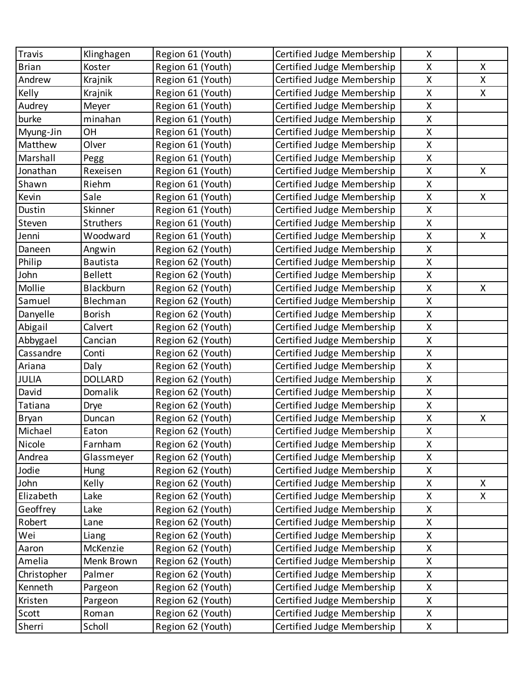| Travis       | Klinghagen      | Region 61 (Youth) | Certified Judge Membership | X                  |   |
|--------------|-----------------|-------------------|----------------------------|--------------------|---|
| <b>Brian</b> | Koster          | Region 61 (Youth) | Certified Judge Membership | X                  | X |
| Andrew       | Krajnik         | Region 61 (Youth) | Certified Judge Membership | X                  | X |
| Kelly        | Krajnik         | Region 61 (Youth) | Certified Judge Membership | X                  | X |
| Audrey       | Meyer           | Region 61 (Youth) | Certified Judge Membership | X                  |   |
| burke        | minahan         | Region 61 (Youth) | Certified Judge Membership | Χ                  |   |
| Myung-Jin    | OH              | Region 61 (Youth) | Certified Judge Membership | X                  |   |
| Matthew      | Olver           | Region 61 (Youth) | Certified Judge Membership | $\pmb{\mathsf{X}}$ |   |
| Marshall     | Pegg            | Region 61 (Youth) | Certified Judge Membership | X                  |   |
| Jonathan     | Rexeisen        | Region 61 (Youth) | Certified Judge Membership | Χ                  | X |
| Shawn        | Riehm           | Region 61 (Youth) | Certified Judge Membership | $\mathsf{X}% _{0}$ |   |
| Kevin        | Sale            | Region 61 (Youth) | Certified Judge Membership | X                  | X |
| Dustin       | Skinner         | Region 61 (Youth) | Certified Judge Membership | X                  |   |
| Steven       | Struthers       | Region 61 (Youth) | Certified Judge Membership | X                  |   |
| Jenni        | Woodward        | Region 61 (Youth) | Certified Judge Membership | $\mathsf{X}% _{0}$ | X |
| Daneen       | Angwin          | Region 62 (Youth) | Certified Judge Membership | X                  |   |
| Philip       | <b>Bautista</b> | Region 62 (Youth) | Certified Judge Membership | X                  |   |
| John         | <b>Bellett</b>  | Region 62 (Youth) | Certified Judge Membership | X                  |   |
| Mollie       | Blackburn       | Region 62 (Youth) | Certified Judge Membership | X                  | X |
| Samuel       | Blechman        | Region 62 (Youth) | Certified Judge Membership | $\pmb{\mathsf{X}}$ |   |
| Danyelle     | <b>Borish</b>   | Region 62 (Youth) | Certified Judge Membership | X                  |   |
| Abigail      | Calvert         | Region 62 (Youth) | Certified Judge Membership | X                  |   |
| Abbygael     | Cancian         | Region 62 (Youth) | Certified Judge Membership | X                  |   |
| Cassandre    | Conti           | Region 62 (Youth) | Certified Judge Membership | X                  |   |
| Ariana       | Daly            | Region 62 (Youth) | Certified Judge Membership | X                  |   |
| JULIA        | <b>DOLLARD</b>  | Region 62 (Youth) | Certified Judge Membership | Χ                  |   |
| David        | Domalik         | Region 62 (Youth) | Certified Judge Membership | X                  |   |
| Tatiana      | Drye            | Region 62 (Youth) | Certified Judge Membership | $\pmb{\mathsf{X}}$ |   |
| Bryan        | Duncan          | Region 62 (Youth) | Certified Judge Membership | X                  | X |
| Michael      | Eaton           | Region 62 (Youth) | Certified Judge Membership | X                  |   |
| Nicole       | Farnham         | Region 62 (Youth) | Certified Judge Membership | $\mathsf{X}% _{0}$ |   |
| Andrea       | Glassmeyer      | Region 62 (Youth) | Certified Judge Membership | Χ                  |   |
| Jodie        | Hung            | Region 62 (Youth) | Certified Judge Membership | Χ                  |   |
| John         | Kelly           | Region 62 (Youth) | Certified Judge Membership | $\pmb{\mathsf{X}}$ | X |
| Elizabeth    | Lake            | Region 62 (Youth) | Certified Judge Membership | Χ                  | X |
| Geoffrey     | Lake            | Region 62 (Youth) | Certified Judge Membership | Χ                  |   |
| Robert       | Lane            | Region 62 (Youth) | Certified Judge Membership | Χ                  |   |
| Wei          | Liang           | Region 62 (Youth) | Certified Judge Membership | X                  |   |
| Aaron        | McKenzie        | Region 62 (Youth) | Certified Judge Membership | Χ                  |   |
| Amelia       | Menk Brown      | Region 62 (Youth) | Certified Judge Membership | Χ                  |   |
| Christopher  | Palmer          | Region 62 (Youth) | Certified Judge Membership | $\mathsf{X}% _{0}$ |   |
| Kenneth      | Pargeon         | Region 62 (Youth) | Certified Judge Membership | Χ                  |   |
| Kristen      | Pargeon         | Region 62 (Youth) | Certified Judge Membership | Χ                  |   |
| Scott        | Roman           | Region 62 (Youth) | Certified Judge Membership | Χ                  |   |
| Sherri       | Scholl          | Region 62 (Youth) | Certified Judge Membership | X                  |   |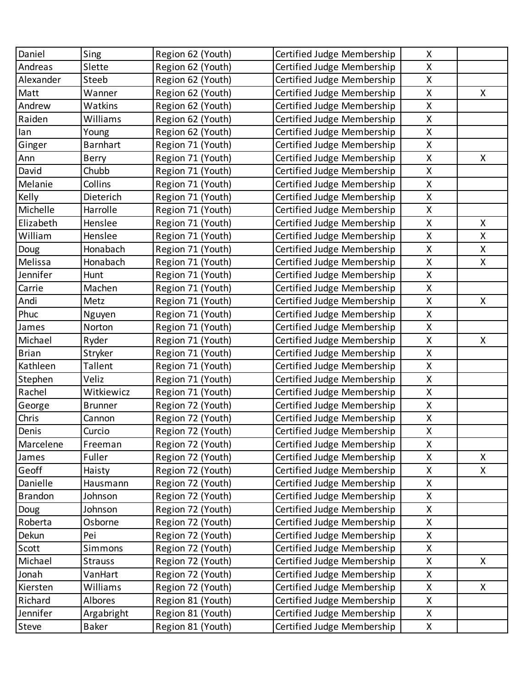| Daniel          | Sing            | Region 62 (Youth)                      | Certified Judge Membership                               | X                  |    |
|-----------------|-----------------|----------------------------------------|----------------------------------------------------------|--------------------|----|
| Andreas         | Slette          | Region 62 (Youth)                      | Certified Judge Membership                               | X                  |    |
| Alexander       | Steeb           | Region 62 (Youth)                      | Certified Judge Membership                               | $\mathsf{X}$       |    |
| Matt            | Wanner          | Region 62 (Youth)                      | Certified Judge Membership                               | $\pmb{\mathsf{X}}$ | X  |
| Andrew          | Watkins         | Region 62 (Youth)                      | Certified Judge Membership                               | $\mathsf{X}$       |    |
| Raiden          | Williams        | Region 62 (Youth)                      | Certified Judge Membership                               | X                  |    |
| lan             | Young           | Region 62 (Youth)                      | Certified Judge Membership                               | $\mathsf{X}$       |    |
| Ginger          | <b>Barnhart</b> | Region 71 (Youth)                      | Certified Judge Membership                               | $\pmb{\mathsf{X}}$ |    |
| Ann             | <b>Berry</b>    | Region 71 (Youth)                      | Certified Judge Membership                               | $\mathsf{X}$       | X. |
| David           | Chubb           | Region 71 (Youth)                      | Certified Judge Membership                               | $\pmb{\mathsf{X}}$ |    |
| Melanie         | Collins         | Region 71 (Youth)                      | Certified Judge Membership                               | $\mathsf{X}$       |    |
| Kelly           | Dieterich       | Region 71 (Youth)                      | Certified Judge Membership                               | $\pmb{\mathsf{X}}$ |    |
| Michelle        | Harrolle        | Region 71 (Youth)                      | Certified Judge Membership                               | $\mathsf{X}$       |    |
| Elizabeth       | Henslee         |                                        | Certified Judge Membership                               | $\pmb{\mathsf{X}}$ | X  |
| William         | Henslee         | Region 71 (Youth)<br>Region 71 (Youth) |                                                          | $\mathsf{X}$       | X  |
|                 | Honabach        | Region 71 (Youth)                      | Certified Judge Membership<br>Certified Judge Membership | $\pmb{\mathsf{X}}$ | X  |
| Doug<br>Melissa | Honabach        |                                        |                                                          | $\mathsf{X}$       | X  |
| Jennifer        |                 | Region 71 (Youth)                      | Certified Judge Membership                               | $\pmb{\mathsf{X}}$ |    |
|                 | Hunt            | Region 71 (Youth)                      | Certified Judge Membership                               |                    |    |
| Carrie          | Machen          | Region 71 (Youth)                      | Certified Judge Membership                               | $\mathsf{X}$       |    |
| Andi            | Metz            | Region 71 (Youth)                      | Certified Judge Membership                               | $\pmb{\mathsf{X}}$ | X  |
| Phuc            | Nguyen          | Region 71 (Youth)                      | Certified Judge Membership                               | $\mathsf{X}$       |    |
| James           | Norton          | Region 71 (Youth)                      | Certified Judge Membership                               | $\pmb{\mathsf{X}}$ |    |
| Michael         | Ryder           | Region 71 (Youth)                      | Certified Judge Membership                               | $\pmb{\mathsf{X}}$ | X  |
| <b>Brian</b>    | Stryker         | Region 71 (Youth)                      | Certified Judge Membership                               | $\pmb{\mathsf{X}}$ |    |
| Kathleen        | Tallent         | Region 71 (Youth)                      | Certified Judge Membership                               | $\mathsf{X}$       |    |
| Stephen         | Veliz           | Region 71 (Youth)                      | Certified Judge Membership                               | $\pmb{\mathsf{X}}$ |    |
| Rachel          | Witkiewicz      | Region 71 (Youth)                      | Certified Judge Membership                               | $\mathsf{X}$       |    |
| George          | <b>Brunner</b>  | Region 72 (Youth)                      | Certified Judge Membership                               | $\mathsf{X}$       |    |
| Chris           | Cannon          | Region 72 (Youth)                      | Certified Judge Membership                               | X                  |    |
| Denis           | Curcio          | Region 72 (Youth)                      | Certified Judge Membership                               | $\sf X$            |    |
| Marcelene       | Freeman         | Region 72 (Youth)                      | Certified Judge Membership                               | X                  |    |
| James           | Fuller          | Region 72 (Youth)                      | Certified Judge Membership                               | $\pmb{\mathsf{X}}$ | X  |
| Geoff           | Haisty          | Region 72 (Youth)                      | Certified Judge Membership                               | $\mathsf{X}$       | X. |
| Danielle        | Hausmann        | Region 72 (Youth)                      | Certified Judge Membership                               | X                  |    |
| <b>Brandon</b>  | Johnson         | Region 72 (Youth)                      | Certified Judge Membership                               | X                  |    |
| Doug            | Johnson         | Region 72 (Youth)                      | Certified Judge Membership                               | X                  |    |
| Roberta         | Osborne         | Region 72 (Youth)                      | Certified Judge Membership                               | $\mathsf{X}$       |    |
| Dekun           | Pei             | Region 72 (Youth)                      | Certified Judge Membership                               | X                  |    |
| Scott           | Simmons         | Region 72 (Youth)                      | Certified Judge Membership                               | $\mathsf{X}$       |    |
| Michael         | <b>Strauss</b>  | Region 72 (Youth)                      | Certified Judge Membership                               | X                  | X  |
| Jonah           | VanHart         | Region 72 (Youth)                      | Certified Judge Membership                               | X                  |    |
| Kiersten        | Williams        | Region 72 (Youth)                      | Certified Judge Membership                               | $\pmb{\mathsf{X}}$ | X. |
| Richard         | Albores         | Region 81 (Youth)                      | Certified Judge Membership                               | X                  |    |
| Jennifer        | Argabright      | Region 81 (Youth)                      | Certified Judge Membership                               | X                  |    |
| Steve           | <b>Baker</b>    | Region 81 (Youth)                      | Certified Judge Membership                               | X                  |    |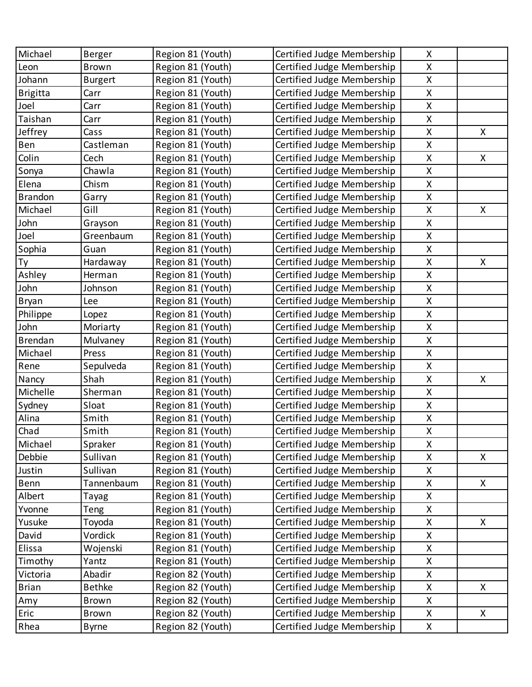| Michael         | Berger         | Region 81 (Youth) | Certified Judge Membership | X                  |    |
|-----------------|----------------|-------------------|----------------------------|--------------------|----|
| Leon            | <b>Brown</b>   | Region 81 (Youth) | Certified Judge Membership | X                  |    |
| Johann          | <b>Burgert</b> | Region 81 (Youth) | Certified Judge Membership | X                  |    |
| <b>Brigitta</b> | Carr           | Region 81 (Youth) | Certified Judge Membership | X                  |    |
| Joel            | Carr           | Region 81 (Youth) | Certified Judge Membership | X                  |    |
| Taishan         | Carr           | Region 81 (Youth) | Certified Judge Membership | X                  |    |
| Jeffrey         | Cass           | Region 81 (Youth) | Certified Judge Membership | X                  | X. |
| Ben             | Castleman      | Region 81 (Youth) | Certified Judge Membership | $\sf X$            |    |
| Colin           | Cech           | Region 81 (Youth) | Certified Judge Membership | X                  | X  |
| Sonya           | Chawla         | Region 81 (Youth) | Certified Judge Membership | X                  |    |
| Elena           | Chism          | Region 81 (Youth) | Certified Judge Membership | X                  |    |
| <b>Brandon</b>  | Garry          | Region 81 (Youth) | Certified Judge Membership | X                  |    |
| Michael         | Gill           | Region 81 (Youth) | Certified Judge Membership | X                  | X  |
| John            | Grayson        | Region 81 (Youth) | Certified Judge Membership | X                  |    |
| Joel            | Greenbaum      | Region 81 (Youth) | Certified Judge Membership | X                  |    |
| Sophia          | Guan           | Region 81 (Youth) | Certified Judge Membership | X                  |    |
| Ty              | Hardaway       | Region 81 (Youth) | Certified Judge Membership | X                  | X  |
| Ashley          | Herman         | Region 81 (Youth) | Certified Judge Membership | $\sf X$            |    |
| John            | Johnson        | Region 81 (Youth) | Certified Judge Membership | X                  |    |
| <b>Bryan</b>    | Lee            | Region 81 (Youth) | Certified Judge Membership | X                  |    |
| Philippe        | Lopez          | Region 81 (Youth) | Certified Judge Membership | X                  |    |
| John            | Moriarty       | Region 81 (Youth) | Certified Judge Membership | X                  |    |
| Brendan         | Mulvaney       | Region 81 (Youth) | Certified Judge Membership | X                  |    |
| Michael         | Press          | Region 81 (Youth) | Certified Judge Membership | X                  |    |
| Rene            | Sepulveda      | Region 81 (Youth) | Certified Judge Membership | X                  |    |
| Nancy           | Shah           | Region 81 (Youth) | Certified Judge Membership | X                  | X  |
| Michelle        | Sherman        | Region 81 (Youth) | Certified Judge Membership | X                  |    |
| Sydney          | Sloat          | Region 81 (Youth) | Certified Judge Membership | $\sf X$            |    |
| Alina           | Smith          | Region 81 (Youth) | Certified Judge Membership | X                  |    |
| Chad            | Smith          | Region 81 (Youth) | Certified Judge Membership | X                  |    |
| Michael         | Spraker        | Region 81 (Youth) | Certified Judge Membership | $\mathsf{X}$       |    |
| Debbie          | Sullivan       | Region 81 (Youth) | Certified Judge Membership | Χ                  | X  |
| Justin          | Sullivan       | Region 81 (Youth) | Certified Judge Membership | Χ                  |    |
| Benn            | Tannenbaum     | Region 81 (Youth) | Certified Judge Membership | $\pmb{\mathsf{X}}$ | X  |
| Albert          | Tayag          | Region 81 (Youth) | Certified Judge Membership | Χ                  |    |
| Yvonne          | Teng           | Region 81 (Youth) | Certified Judge Membership | Χ                  |    |
| Yusuke          | Toyoda         | Region 81 (Youth) | Certified Judge Membership | Χ                  | X  |
| David           | Vordick        | Region 81 (Youth) | Certified Judge Membership | $\pmb{\mathsf{X}}$ |    |
| Elissa          | Wojenski       | Region 81 (Youth) | Certified Judge Membership | Χ                  |    |
| Timothy         | Yantz          | Region 81 (Youth) | Certified Judge Membership | Χ                  |    |
| Victoria        | Abadir         | Region 82 (Youth) | Certified Judge Membership | $\mathsf{X}% _{0}$ |    |
| <b>Brian</b>    | <b>Bethke</b>  | Region 82 (Youth) | Certified Judge Membership | $\pmb{\mathsf{X}}$ | X  |
| Amy             | <b>Brown</b>   | Region 82 (Youth) | Certified Judge Membership | Χ                  |    |
| Eric            | <b>Brown</b>   | Region 82 (Youth) | Certified Judge Membership | Χ                  | X  |
| Rhea            | <b>Byrne</b>   | Region 82 (Youth) | Certified Judge Membership | X                  |    |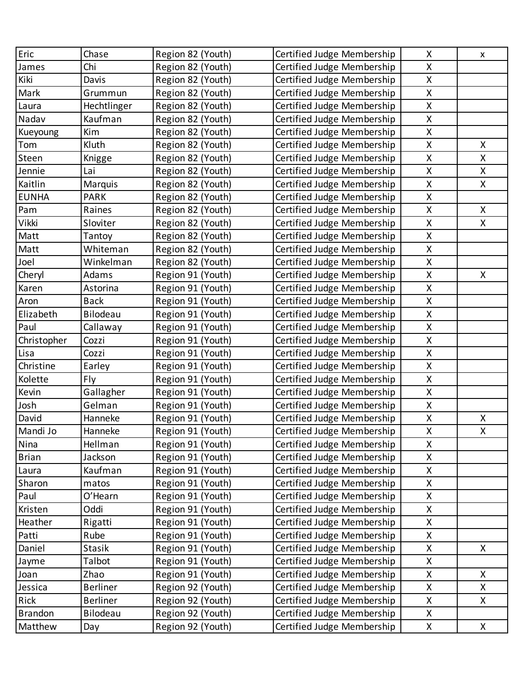| Eric           | Chase           | Region 82 (Youth) | Certified Judge Membership | X                  | X  |
|----------------|-----------------|-------------------|----------------------------|--------------------|----|
| James          | Chi             | Region 82 (Youth) | Certified Judge Membership | X                  |    |
| Kiki           | Davis           | Region 82 (Youth) | Certified Judge Membership | $\mathsf{X}% _{0}$ |    |
| Mark           | Grummun         | Region 82 (Youth) | Certified Judge Membership | X                  |    |
| Laura          | Hechtlinger     | Region 82 (Youth) | Certified Judge Membership | X                  |    |
| Nadav          | Kaufman         | Region 82 (Youth) | Certified Judge Membership | X                  |    |
| Kueyoung       | Kim             | Region 82 (Youth) | Certified Judge Membership | X                  |    |
| Tom            | Kluth           | Region 82 (Youth) | Certified Judge Membership | $\pmb{\mathsf{X}}$ | X  |
| Steen          | Knigge          | Region 82 (Youth) | Certified Judge Membership | X                  | X  |
| Jennie         | Lai             | Region 82 (Youth) | Certified Judge Membership | X                  | X  |
| Kaitlin        | Marquis         | Region 82 (Youth) | Certified Judge Membership | X                  | X. |
| <b>EUNHA</b>   | <b>PARK</b>     | Region 82 (Youth) | Certified Judge Membership | $\pmb{\mathsf{X}}$ |    |
| Pam            | Raines          | Region 82 (Youth) | Certified Judge Membership | X                  | X. |
| Vikki          | Sloviter        | Region 82 (Youth) | Certified Judge Membership | X                  | X  |
| Matt           | Tantoy          | Region 82 (Youth) | Certified Judge Membership | X                  |    |
| Matt           | Whiteman        | Region 82 (Youth) | Certified Judge Membership | $\pmb{\mathsf{X}}$ |    |
| Joel           | Winkelman       | Region 82 (Youth) | Certified Judge Membership | X                  |    |
| Cheryl         | Adams           | Region 91 (Youth) | Certified Judge Membership | Χ                  | X  |
| Karen          | Astorina        | Region 91 (Youth) | Certified Judge Membership | X                  |    |
| Aron           | <b>Back</b>     | Region 91 (Youth) | Certified Judge Membership | X                  |    |
| Elizabeth      | Bilodeau        | Region 91 (Youth) | Certified Judge Membership | X                  |    |
| Paul           | Callaway        | Region 91 (Youth) | Certified Judge Membership | Χ                  |    |
| Christopher    | Cozzi           | Region 91 (Youth) | Certified Judge Membership | X                  |    |
| Lisa           | Cozzi           | Region 91 (Youth) | Certified Judge Membership | X                  |    |
| Christine      | Earley          | Region 91 (Youth) | Certified Judge Membership | X                  |    |
| Kolette        | Fly             | Region 91 (Youth) | Certified Judge Membership | X                  |    |
| Kevin          | Gallagher       | Region 91 (Youth) | Certified Judge Membership | X                  |    |
| Josh           | Gelman          | Region 91 (Youth) | Certified Judge Membership | X                  |    |
| David          | Hanneke         | Region 91 (Youth) | Certified Judge Membership | X                  | Χ  |
| Mandi Jo       | Hanneke         | Region 91 (Youth) | Certified Judge Membership | $\pmb{\mathsf{X}}$ | Χ  |
| Nina           | Hellman         | Region 91 (Youth) | Certified Judge Membership | X                  |    |
| <b>Brian</b>   | Jackson         | Region 91 (Youth) | Certified Judge Membership | Χ                  |    |
| Laura          | Kaufman         | Region 91 (Youth) | Certified Judge Membership | X                  |    |
| Sharon         | matos           | Region 91 (Youth) | Certified Judge Membership | X                  |    |
| Paul           | O'Hearn         | Region 91 (Youth) | Certified Judge Membership | X                  |    |
| Kristen        | Oddi            | Region 91 (Youth) | Certified Judge Membership | Χ                  |    |
| Heather        | Rigatti         | Region 91 (Youth) | Certified Judge Membership | X                  |    |
| Patti          | Rube            | Region 91 (Youth) | Certified Judge Membership | Χ                  |    |
| Daniel         | <b>Stasik</b>   | Region 91 (Youth) | Certified Judge Membership | X                  | X. |
| Jayme          | Talbot          | Region 91 (Youth) | Certified Judge Membership | Χ                  |    |
| Joan           | Zhao            | Region 91 (Youth) | Certified Judge Membership | X                  | X. |
| Jessica        | <b>Berliner</b> | Region 92 (Youth) | Certified Judge Membership | Χ                  | X  |
| Rick           | <b>Berliner</b> | Region 92 (Youth) | Certified Judge Membership | X                  | X. |
| <b>Brandon</b> | Bilodeau        | Region 92 (Youth) | Certified Judge Membership | Χ                  |    |
| Matthew        | Day             | Region 92 (Youth) | Certified Judge Membership | X                  | X. |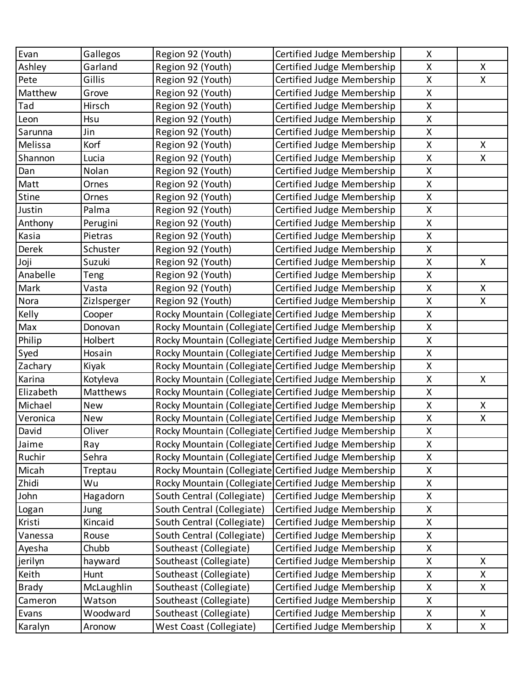| Evan         | Gallegos    | Region 92 (Youth)          | Certified Judge Membership                            | X                  |              |
|--------------|-------------|----------------------------|-------------------------------------------------------|--------------------|--------------|
| Ashley       | Garland     | Region 92 (Youth)          | Certified Judge Membership                            | X                  | X.           |
| Pete         | Gillis      | Region 92 (Youth)          | Certified Judge Membership                            | X                  | X.           |
| Matthew      | Grove       | Region 92 (Youth)          | Certified Judge Membership                            | $\pmb{\mathsf{X}}$ |              |
| Tad          | Hirsch      | Region 92 (Youth)          | Certified Judge Membership                            | $\pmb{\mathsf{X}}$ |              |
| Leon         | Hsu         | Region 92 (Youth)          | Certified Judge Membership                            | X                  |              |
| Sarunna      | Jin         | Region 92 (Youth)          | Certified Judge Membership                            | X                  |              |
| Melissa      | Korf        | Region 92 (Youth)          | Certified Judge Membership                            | X                  | $\mathsf{X}$ |
| Shannon      | Lucia       | Region 92 (Youth)          | Certified Judge Membership                            | $\pmb{\mathsf{X}}$ | X.           |
| Dan          | Nolan       | Region 92 (Youth)          | Certified Judge Membership                            | $\pmb{\mathsf{X}}$ |              |
| Matt         | Ornes       | Region 92 (Youth)          | Certified Judge Membership                            | X                  |              |
| Stine        | Ornes       | Region 92 (Youth)          | Certified Judge Membership                            | $\pmb{\mathsf{X}}$ |              |
| Justin       | Palma       | Region 92 (Youth)          | Certified Judge Membership                            | X                  |              |
| Anthony      | Perugini    | Region 92 (Youth)          | Certified Judge Membership                            | $\pmb{\mathsf{X}}$ |              |
| Kasia        | Pietras     | Region 92 (Youth)          | Certified Judge Membership                            | $\pmb{\mathsf{X}}$ |              |
| Derek        | Schuster    | Region 92 (Youth)          | Certified Judge Membership                            | $\pmb{\mathsf{X}}$ |              |
| Joji         | Suzuki      | Region 92 (Youth)          | Certified Judge Membership                            | $\mathsf{X}$       | X.           |
| Anabelle     | Teng        | Region 92 (Youth)          | Certified Judge Membership                            | X                  |              |
| Mark         | Vasta       | Region 92 (Youth)          | Certified Judge Membership                            | X                  | $\mathsf{X}$ |
| Nora         | Zizlsperger | Region 92 (Youth)          | Certified Judge Membership                            | $\pmb{\mathsf{X}}$ | X.           |
| Kelly        | Cooper      |                            | Rocky Mountain (Collegiate Certified Judge Membership | $\mathsf{X}$       |              |
| Max          | Donovan     |                            | Rocky Mountain (Collegiate Certified Judge Membership | X                  |              |
| Philip       | Holbert     |                            | Rocky Mountain (Collegiate Certified Judge Membership | X                  |              |
| Syed         | Hosain      |                            | Rocky Mountain (Collegiate Certified Judge Membership | $\pmb{\mathsf{X}}$ |              |
| Zachary      | Kiyak       |                            | Rocky Mountain (Collegiate Certified Judge Membership | X                  |              |
| Karina       | Kotyleva    |                            | Rocky Mountain (Collegiate Certified Judge Membership | X                  | $\mathsf{X}$ |
| Elizabeth    | Matthews    |                            | Rocky Mountain (Collegiate Certified Judge Membership | X                  |              |
| Michael      | <b>New</b>  |                            | Rocky Mountain (Collegiate Certified Judge Membership | X                  | X            |
| Veronica     | New         |                            | Rocky Mountain (Collegiate Certified Judge Membership | X                  | X.           |
| David        | Oliver      |                            | Rocky Mountain (Collegiate Certified Judge Membership | X                  |              |
| Jaime        | Ray         |                            | Rocky Mountain (Collegiate Certified Judge Membership | X                  |              |
| Ruchir       | Sehra       |                            | Rocky Mountain (Collegiate Certified Judge Membership | X                  |              |
| Micah        | Treptau     |                            | Rocky Mountain (Collegiate Certified Judge Membership | X                  |              |
| Zhidi        | Wu          |                            | Rocky Mountain (Collegiate Certified Judge Membership | Χ                  |              |
| John         | Hagadorn    | South Central (Collegiate) | Certified Judge Membership                            | X                  |              |
| Logan        | Jung        | South Central (Collegiate) | Certified Judge Membership                            | X                  |              |
| Kristi       | Kincaid     | South Central (Collegiate) | Certified Judge Membership                            | X                  |              |
| Vanessa      | Rouse       | South Central (Collegiate) | Certified Judge Membership                            | X                  |              |
| Ayesha       | Chubb       | Southeast (Collegiate)     | Certified Judge Membership                            | Χ                  |              |
| jerilyn      | hayward     | Southeast (Collegiate)     | Certified Judge Membership                            | X                  | X.           |
| Keith        | Hunt        | Southeast (Collegiate)     | Certified Judge Membership                            | Χ                  | X.           |
| <b>Brady</b> | McLaughlin  | Southeast (Collegiate)     | Certified Judge Membership                            | X                  | X.           |
| Cameron      | Watson      | Southeast (Collegiate)     | Certified Judge Membership                            | X                  |              |
| Evans        | Woodward    | Southeast (Collegiate)     | Certified Judge Membership                            | X                  | X.           |
| Karalyn      | Aronow      | West Coast (Collegiate)    | Certified Judge Membership                            | X                  | X.           |